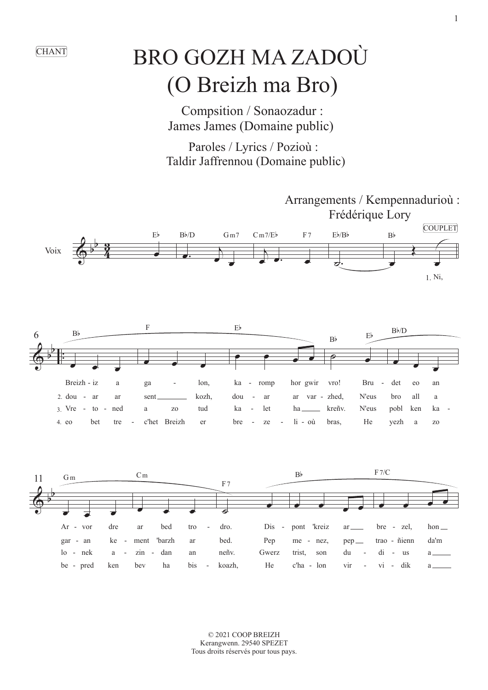## (O Breizh ma Bro) CHANT BRO GOZH MA ZADOÙ

 Compsition / Sonaozadur : James James (Domaine public)

 Paroles / Lyrics / Pozioù : Taldir Jaffrennou (Domaine public)



© 2021 COOP BREIZH Kerangwenn. 29540 SPEZET Tous droits réservés pour tous pays.